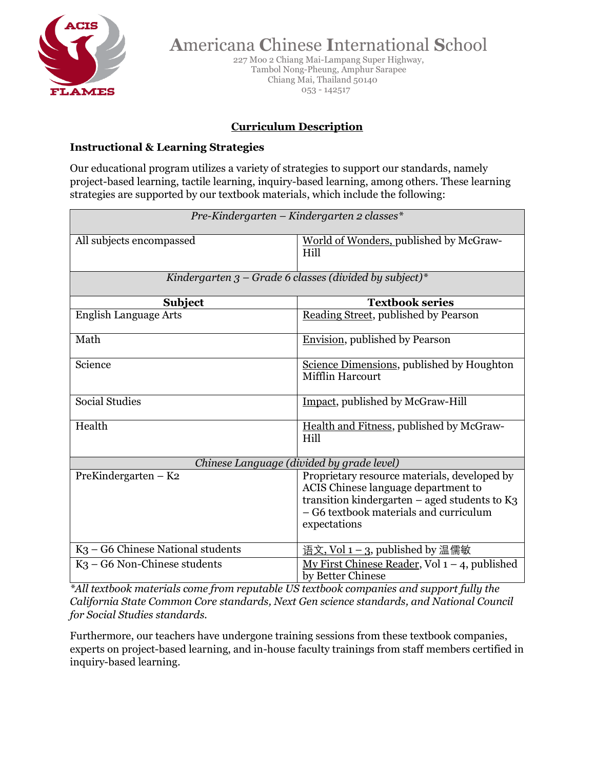

227 Moo 2 Chiang Mai-Lampang Super Highway, Tambol Nong-Pheung, Amphur Sarapee Chiang Mai, Thailand 50140 053 - 142517

#### **Curriculum Description**

#### **Instructional & Learning Strategies**

Our educational program utilizes a variety of strategies to support our standards, namely project-based learning, tactile learning, inquiry-based learning, among others. These learning strategies are supported by our textbook materials, which include the following:

| Pre-Kindergarten – Kindergarten 2 classes*               |                                                                                                                                                                                                  |  |
|----------------------------------------------------------|--------------------------------------------------------------------------------------------------------------------------------------------------------------------------------------------------|--|
| All subjects encompassed                                 | World of Wonders, published by McGraw-<br>Hill                                                                                                                                                   |  |
| Kindergarten $3$ – Grade 6 classes (divided by subject)* |                                                                                                                                                                                                  |  |
| Subject                                                  | <b>Textbook series</b>                                                                                                                                                                           |  |
| <b>English Language Arts</b>                             | Reading Street, published by Pearson                                                                                                                                                             |  |
| Math                                                     | <b>Envision</b> , published by Pearson                                                                                                                                                           |  |
| Science                                                  | Science Dimensions, published by Houghton<br>Mifflin Harcourt                                                                                                                                    |  |
| <b>Social Studies</b>                                    | Impact, published by McGraw-Hill                                                                                                                                                                 |  |
| Health                                                   | Health and Fitness, published by McGraw-<br>Hill                                                                                                                                                 |  |
| Chinese Language (divided by grade level)                |                                                                                                                                                                                                  |  |
| PreKindergarten $-$ K2                                   | Proprietary resource materials, developed by<br>ACIS Chinese language department to<br>transition kindergarten $-$ aged students to K3<br>- G6 textbook materials and curriculum<br>expectations |  |
| K <sub>3</sub> – G6 Chinese National students            | <u>语文, Vol 1 – 3</u> , published by 温儒敏                                                                                                                                                          |  |
| $K_3$ – G6 Non-Chinese students                          | $\overline{\text{My First Chinese Reader}}$ , Vol 1 – 4, published<br>by Better Chinese                                                                                                          |  |

*\*All textbook materials come from reputable US textbook companies and support fully the California State Common Core standards, Next Gen science standards, and National Council for Social Studies standards.*

Furthermore, our teachers have undergone training sessions from these textbook companies, experts on project-based learning, and in-house faculty trainings from staff members certified in inquiry-based learning.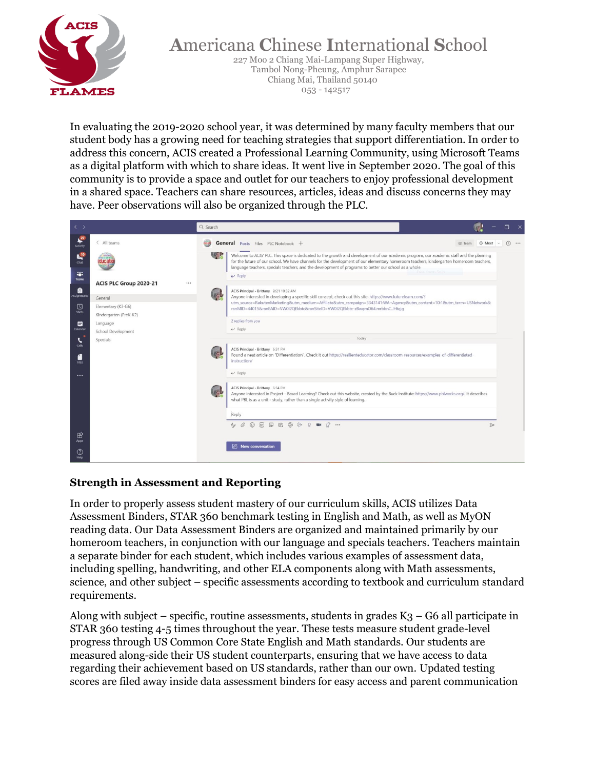

227 Moo 2 Chiang Mai-Lampang Super Highway, Tambol Nong-Pheung, Amphur Sarapee Chiang Mai, Thailand 50140 053 - 142517

In evaluating the 2019-2020 school year, it was determined by many faculty members that our student body has a growing need for teaching strategies that support differentiation. In order to address this concern, ACIS created a Professional Learning Community, using Microsoft Teams as a digital platform with which to share ideas. It went live in September 2020. The goal of this community is to provide a space and outlet for our teachers to enjoy professional development in a shared space. Teachers can share resources, articles, ideas and discuss concerns they may have. Peer observations will also be organized through the PLC.



#### **Strength in Assessment and Reporting**

In order to properly assess student mastery of our curriculum skills, ACIS utilizes Data Assessment Binders, STAR 360 benchmark testing in English and Math, as well as MyON reading data. Our Data Assessment Binders are organized and maintained primarily by our homeroom teachers, in conjunction with our language and specials teachers. Teachers maintain a separate binder for each student, which includes various examples of assessment data, including spelling, handwriting, and other ELA components along with Math assessments, science, and other subject – specific assessments according to textbook and curriculum standard requirements.

Along with subject – specific, routine assessments, students in grades  $K_3$  – G6 all participate in STAR 360 testing 4-5 times throughout the year. These tests measure student grade-level progress through US Common Core State English and Math standards. Our students are measured along-side their US student counterparts, ensuring that we have access to data regarding their achievement based on US standards, rather than our own. Updated testing scores are filed away inside data assessment binders for easy access and parent communication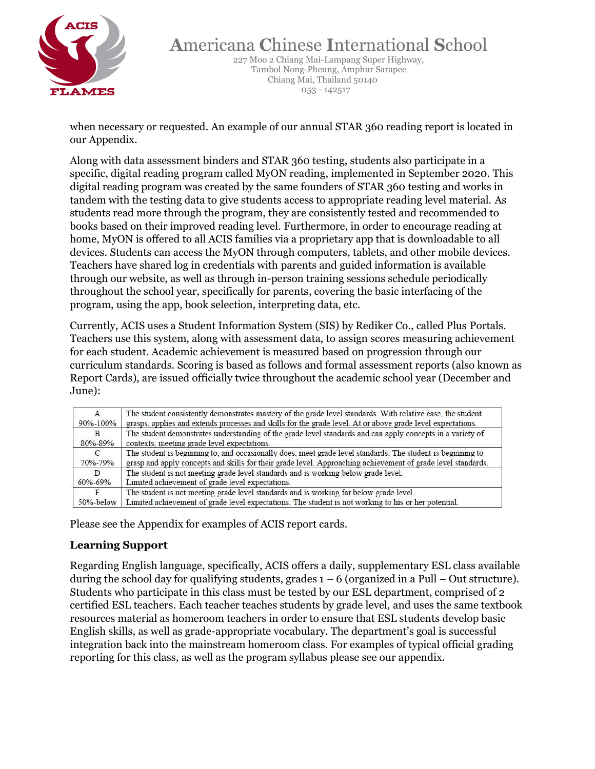

227 Moo 2 Chiang Mai-Lampang Super Highway, Tambol Nong-Pheung, Amphur Sarapee Chiang Mai, Thailand 50140 053 - 142517

when necessary or requested. An example of our annual STAR 360 reading report is located in our Appendix.

Along with data assessment binders and STAR 360 testing, students also participate in a specific, digital reading program called MyON reading, implemented in September 2020. This digital reading program was created by the same founders of STAR 360 testing and works in tandem with the testing data to give students access to appropriate reading level material. As students read more through the program, they are consistently tested and recommended to books based on their improved reading level. Furthermore, in order to encourage reading at home, MyON is offered to all ACIS families via a proprietary app that is downloadable to all devices. Students can access the MyON through computers, tablets, and other mobile devices. Teachers have shared log in credentials with parents and guided information is available through our website, as well as through in-person training sessions schedule periodically throughout the school year, specifically for parents, covering the basic interfacing of the program, using the app, book selection, interpreting data, etc.

Currently, ACIS uses a Student Information System (SIS) by Rediker Co., called Plus Portals. Teachers use this system, along with assessment data, to assign scores measuring achievement for each student. Academic achievement is measured based on progression through our curriculum standards. Scoring is based as follows and formal assessment reports (also known as Report Cards), are issued officially twice throughout the academic school year (December and June):

| A             | The student consistently demonstrates mastery of the grade level standards. With relative ease, the student  |
|---------------|--------------------------------------------------------------------------------------------------------------|
| 90%-100%      | grasps, applies and extends processes and skills for the grade level. At or above grade level expectations.  |
| B             | The student demonstrates understanding of the grade level standards and can apply concepts in a variety of   |
| 80%-89%       | contexts; meeting grade level expectations.                                                                  |
| $\mathcal{C}$ | The student is beginning to, and occasionally does, meet grade level standards. The student is beginning to  |
| 70%-79%       | grasp and apply concepts and skills for their grade level. Approaching achievement of grade level standards. |
| D             | The student is not meeting grade level standards and is working below grade level.                           |
| 60%-69%       | Limited achievement of grade level expectations.                                                             |
| F             | The student is not meeting grade level standards and is working far below grade level.                       |
| 50%-below     | Limited achievement of grade level expectations. The student is not working to his or her potential.         |

Please see the Appendix for examples of ACIS report cards.

#### **Learning Support**

Regarding English language, specifically, ACIS offers a daily, supplementary ESL class available during the school day for qualifying students, grades  $1 - 6$  (organized in a Pull – Out structure). Students who participate in this class must be tested by our ESL department, comprised of 2 certified ESL teachers. Each teacher teaches students by grade level, and uses the same textbook resources material as homeroom teachers in order to ensure that ESL students develop basic English skills, as well as grade-appropriate vocabulary. The department's goal is successful integration back into the mainstream homeroom class. For examples of typical official grading reporting for this class, as well as the program syllabus please see our appendix.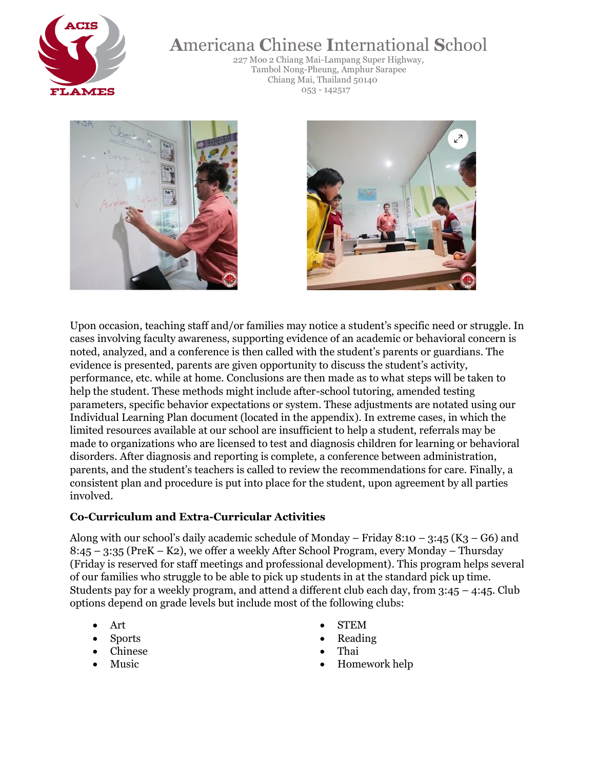

227 Moo 2 Chiang Mai-Lampang Super Highway, Tambol Nong-Pheung, Amphur Sarapee Chiang Mai, Thailand 50140 053 - 142517





Upon occasion, teaching staff and/or families may notice a student's specific need or struggle. In cases involving faculty awareness, supporting evidence of an academic or behavioral concern is noted, analyzed, and a conference is then called with the student's parents or guardians. The evidence is presented, parents are given opportunity to discuss the student's activity, performance, etc. while at home. Conclusions are then made as to what steps will be taken to help the student. These methods might include after-school tutoring, amended testing parameters, specific behavior expectations or system. These adjustments are notated using our Individual Learning Plan document (located in the appendix). In extreme cases, in which the limited resources available at our school are insufficient to help a student, referrals may be made to organizations who are licensed to test and diagnosis children for learning or behavioral disorders. After diagnosis and reporting is complete, a conference between administration, parents, and the student's teachers is called to review the recommendations for care. Finally, a consistent plan and procedure is put into place for the student, upon agreement by all parties involved.

#### **Co-Curriculum and Extra-Curricular Activities**

Along with our school's daily academic schedule of Monday – Friday 8:10 – 3:45 (K3 – G6) and 8:45 – 3:35 (PreK – K2), we offer a weekly After School Program, every Monday – Thursday (Friday is reserved for staff meetings and professional development). This program helps several of our families who struggle to be able to pick up students in at the standard pick up time. Students pay for a weekly program, and attend a different club each day, from  $3:45 - 4:45$ . Club options depend on grade levels but include most of the following clubs:

- 
- 
- 
- 
- Art STEM
	- Sports Reading
	- Chinese Thai
	- Music Homework help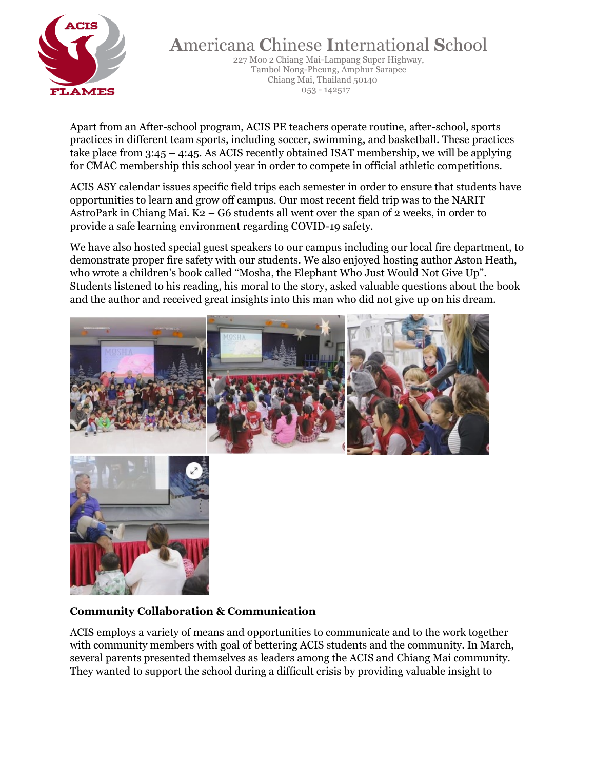

227 Moo 2 Chiang Mai-Lampang Super Highway, Tambol Nong-Pheung, Amphur Sarapee Chiang Mai, Thailand 50140 053 - 142517

Apart from an After-school program, ACIS PE teachers operate routine, after-school, sports practices in different team sports, including soccer, swimming, and basketball. These practices take place from 3:45 – 4:45. As ACIS recently obtained ISAT membership, we will be applying for CMAC membership this school year in order to compete in official athletic competitions.

ACIS ASY calendar issues specific field trips each semester in order to ensure that students have opportunities to learn and grow off campus. Our most recent field trip was to the NARIT AstroPark in Chiang Mai. K2 – G6 students all went over the span of 2 weeks, in order to provide a safe learning environment regarding COVID-19 safety.

We have also hosted special guest speakers to our campus including our local fire department, to demonstrate proper fire safety with our students. We also enjoyed hosting author Aston Heath, who wrote a children's book called "Mosha, the Elephant Who Just Would Not Give Up". Students listened to his reading, his moral to the story, asked valuable questions about the book and the author and received great insights into this man who did not give up on his dream.



#### **Community Collaboration & Communication**

ACIS employs a variety of means and opportunities to communicate and to the work together with community members with goal of bettering ACIS students and the community. In March, several parents presented themselves as leaders among the ACIS and Chiang Mai community. They wanted to support the school during a difficult crisis by providing valuable insight to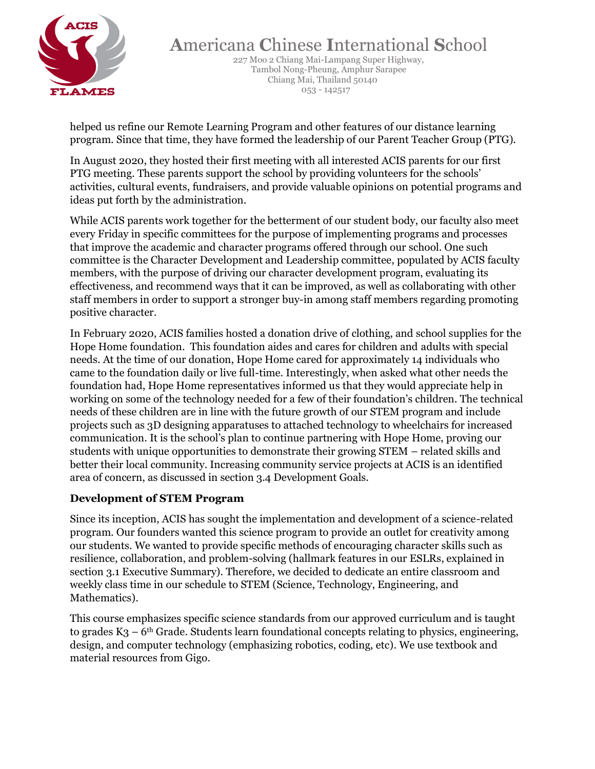

227 Moo 2 Chiang Mai-Lampang Super Highway, Tambol Nong-Pheung, Amphur Sarapee Chiang Mai, Thailand 50140 053 - 142517

helped us refine our Remote Learning Program and other features of our distance learning program. Since that time, they have formed the leadership of our Parent Teacher Group (PTG).

In August 2020, they hosted their first meeting with all interested ACIS parents for our first PTG meeting. These parents support the school by providing volunteers for the schools' activities, cultural events, fundraisers, and provide valuable opinions on potential programs and ideas put forth by the administration.

While ACIS parents work together for the betterment of our student body, our faculty also meet every Friday in specific committees for the purpose of implementing programs and processes that improve the academic and character programs offered through our school. One such committee is the Character Development and Leadership committee, populated by ACIS faculty members, with the purpose of driving our character development program, evaluating its effectiveness, and recommend ways that it can be improved, as well as collaborating with other staff members in order to support a stronger buy-in among staff members regarding promoting positive character.

In February 2020, ACIS families hosted a donation drive of clothing, and school supplies for the Hope Home foundation. This foundation aides and cares for children and adults with special needs. At the time of our donation, Hope Home cared for approximately 14 individuals who came to the foundation daily or live full-time. Interestingly, when asked what other needs the foundation had, Hope Home representatives informed us that they would appreciate help in working on some of the technology needed for a few of their foundation's children. The technical needs of these children are in line with the future growth of our STEM program and include projects such as 3D designing apparatuses to attached technology to wheelchairs for increased communication. It is the school's plan to continue partnering with Hope Home, proving our students with unique opportunities to demonstrate their growing STEM – related skills and better their local community. Increasing community service projects at ACIS is an identified area of concern, as discussed in section 3.4 Development Goals.

#### **Development of STEM Program**

Since its inception, ACIS has sought the implementation and development of a science-related program. Our founders wanted this science program to provide an outlet for creativity among our students. We wanted to provide specific methods of encouraging character skills such as resilience, collaboration, and problem-solving (hallmark features in our ESLRs, explained in section 3.1 Executive Summary). Therefore, we decided to dedicate an entire classroom and weekly class time in our schedule to STEM (Science, Technology, Engineering, and Mathematics).

This course emphasizes specific science standards from our approved curriculum and is taught to grades  $K_3 - 6$ <sup>th</sup> Grade. Students learn foundational concepts relating to physics, engineering, design, and computer technology (emphasizing robotics, coding, etc). We use textbook and material resources from Gigo.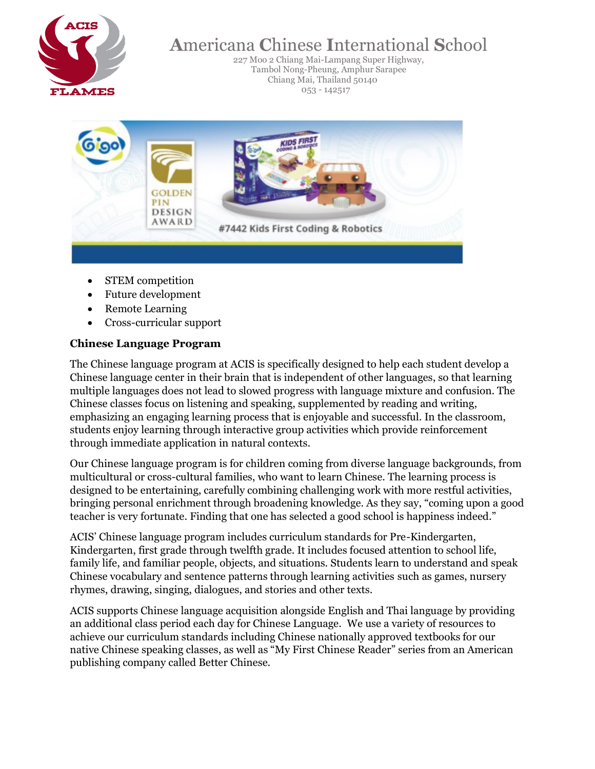

227 Moo 2 Chiang Mai-Lampang Super Highway, Tambol Nong-Pheung, Amphur Sarapee Chiang Mai, Thailand 50140 053 - 142517



- STEM competition
- Future development
- Remote Learning
- Cross-curricular support

#### **Chinese Language Program**

The Chinese language program at ACIS is specifically designed to help each student develop a Chinese language center in their brain that is independent of other languages, so that learning multiple languages does not lead to slowed progress with language mixture and confusion. The Chinese classes focus on listening and speaking, supplemented by reading and writing, emphasizing an engaging learning process that is enjoyable and successful. In the classroom, students enjoy learning through interactive group activities which provide reinforcement through immediate application in natural contexts.

Our Chinese language program is for children coming from diverse language backgrounds, from multicultural or cross-cultural families, who want to learn Chinese. The learning process is designed to be entertaining, carefully combining challenging work with more restful activities, bringing personal enrichment through broadening knowledge. As they say, "coming upon a good teacher is very fortunate. Finding that one has selected a good school is happiness indeed."

ACIS' Chinese language program includes curriculum standards for Pre-Kindergarten, Kindergarten, first grade through twelfth grade. It includes focused attention to school life, family life, and familiar people, objects, and situations. Students learn to understand and speak Chinese vocabulary and sentence patterns through learning activities such as games, nursery rhymes, drawing, singing, dialogues, and stories and other texts.

ACIS supports Chinese language acquisition alongside English and Thai language by providing an additional class period each day for Chinese Language. We use a variety of resources to achieve our curriculum standards including Chinese nationally approved textbooks for our native Chinese speaking classes, as well as "My First Chinese Reader" series from an American publishing company called Better Chinese.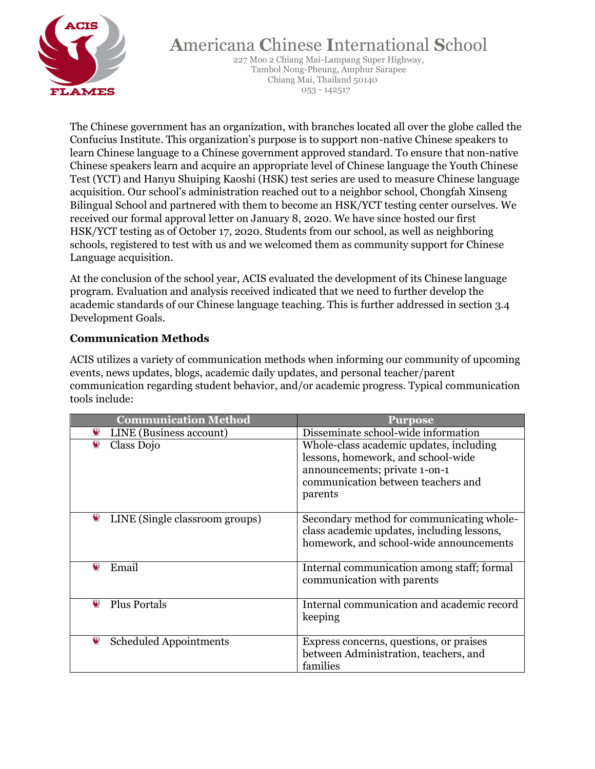

227 Moo 2 Chiang Mai-Lampang Super Highway, Tambol Nong-Pheung, Amphur Sarapee Chiang Mai, Thailand 50140 053 - 142517

The Chinese government has an organization, with branches located all over the globe called the Confucius Institute. This organization's purpose is to support non-native Chinese speakers to learn Chinese language to a Chinese government approved standard. To ensure that non-native Chinese speakers learn and acquire an appropriate level of Chinese language the Youth Chinese Test (YCT) and Hanyu Shuiping Kaoshi (HSK) test series are used to measure Chinese language acquisition. Our school's administration reached out to a neighbor school, Chongfah Xinseng Bilingual School and partnered with them to become an HSK/YCT testing center ourselves. We received our formal approval letter on January 8, 2020. We have since hosted our first HSK/YCT testing as of October 17, 2020. Students from our school, as well as neighboring schools, registered to test with us and we welcomed them as community support for Chinese Language acquisition.

At the conclusion of the school year, ACIS evaluated the development of its Chinese language program. Evaluation and analysis received indicated that we need to further develop the academic standards of our Chinese language teaching. This is further addressed in section 3.4 Development Goals.

#### **Communication Methods**

ACIS utilizes a variety of communication methods when informing our community of upcoming events, news updates, blogs, academic daily updates, and personal teacher/parent communication regarding student behavior, and/or academic progress. Typical communication tools include:

| <b>Communication Method</b>         | Purpose                                                                                                                                                         |
|-------------------------------------|-----------------------------------------------------------------------------------------------------------------------------------------------------------------|
| ❤<br>LINE (Business account)        | Disseminate school-wide information                                                                                                                             |
| ❤<br>Class Dojo                     | Whole-class academic updates, including<br>lessons, homework, and school-wide<br>announcements; private 1-on-1<br>communication between teachers and<br>parents |
| ❤<br>LINE (Single classroom groups) | Secondary method for communicating whole-<br>class academic updates, including lessons,<br>homework, and school-wide announcements                              |
| ₩<br>Email                          | Internal communication among staff; formal<br>communication with parents                                                                                        |
| ❤<br><b>Plus Portals</b>            | Internal communication and academic record<br>keeping                                                                                                           |
| ፶<br><b>Scheduled Appointments</b>  | Express concerns, questions, or praises<br>between Administration, teachers, and<br>families                                                                    |